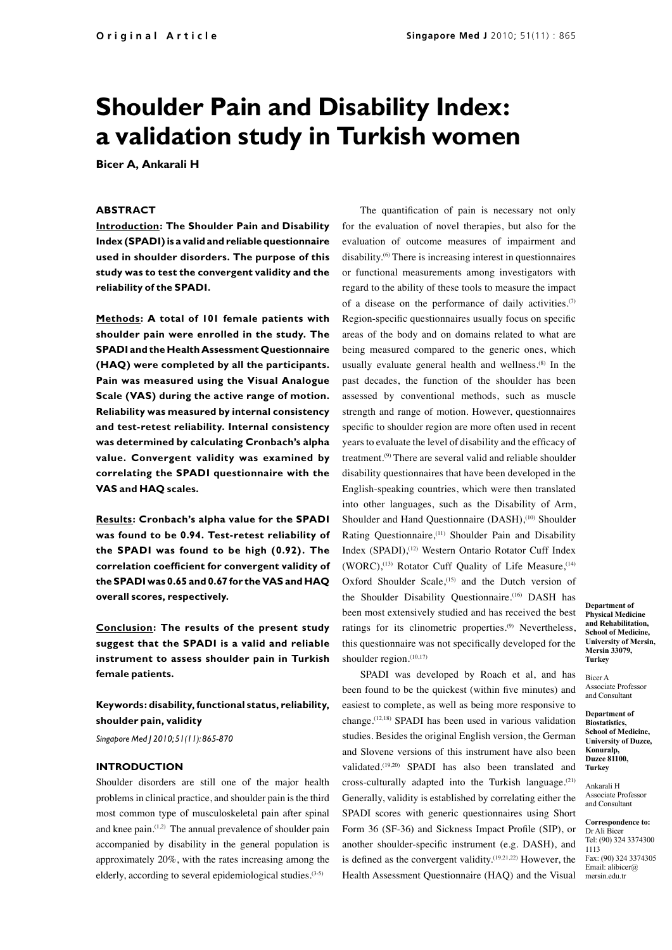# **Shoulder Pain and Disability Index: a validation study in Turkish women**

**Bicer A, Ankarali H**

### **ABSTRACT**

**Introduction: The Shoulder Pain and Disability Index (SPADI) is a valid and reliable questionnaire used in shoulder disorders. The purpose of this study was to test the convergent validity and the reliability of the SPADI.**

**Methods: A total of 101 female patients with shoulder pain were enrolled in the study. The SPADI and the Health Assessment Questionnaire (HAQ) were completed by all the participants. Pain was measured using the Visual Analogue Scale (VAS) during the active range of motion. Reliability was measured by internal consistency and test-retest reliability. Internal consistency was determined by calculating Cronbach's alpha value. Convergent validity was examined by correlating the SPADI questionnaire with the VAS and HAQ scales.**

**Results: Cronbach's alpha value for the SPADI was found to be 0.94. Test-retest reliability of the SPADI was found to be high (0.92). The correlation coefficient for convergent validity of the SPADI was 0.65 and 0.67 for the VAS and HAQ overall scores, respectively.**

**Conclusion: The results of the present study suggest that the SPADI is a valid and reliable instrument to assess shoulder pain in Turkish female patients.**

## **Keywords: disability, functional status, reliability, shoulder pain, validity**

*Singapore Med J 2010; 51(11): 865-870*

#### **INTRODUCTION**

Shoulder disorders are still one of the major health problems in clinical practice, and shoulder pain is the third most common type of musculoskeletal pain after spinal and knee pain.<sup>(1,2)</sup> The annual prevalence of shoulder pain accompanied by disability in the general population is approximately 20%, with the rates increasing among the elderly, according to several epidemiological studies.(3-5)

 The quantification of pain is necessary not only for the evaluation of novel therapies, but also for the evaluation of outcome measures of impairment and disability.<sup>(6)</sup> There is increasing interest in questionnaires or functional measurements among investigators with regard to the ability of these tools to measure the impact of a disease on the performance of daily activities. $(7)$ Region-specific questionnaires usually focus on specific areas of the body and on domains related to what are being measured compared to the generic ones, which usually evaluate general health and wellness.(8) In the past decades, the function of the shoulder has been assessed by conventional methods, such as muscle strength and range of motion. However, questionnaires specific to shoulder region are more often used in recent years to evaluate the level of disability and the efficacy of treatment.(9) There are several valid and reliable shoulder disability questionnaires that have been developed in the English-speaking countries, which were then translated into other languages, such as the Disability of Arm, Shoulder and Hand Ouestionnaire (DASH),<sup>(10)</sup> Shoulder Rating Questionnaire,(11) Shoulder Pain and Disability Index (SPADI),<sup>(12)</sup> Western Ontario Rotator Cuff Index (WORC),<sup>(13)</sup> Rotator Cuff Quality of Life Measure,<sup>(14)</sup> Oxford Shoulder Scale,<sup>(15)</sup> and the Dutch version of the Shoulder Disability Questionnaire.<sup>(16)</sup> DASH has been most extensively studied and has received the best ratings for its clinometric properties.<sup>(9)</sup> Nevertheless, this questionnaire was not specifically developed for the shoulder region.<sup>(10,17)</sup>

SPADI was developed by Roach et al, and has been found to be the quickest (within five minutes) and easiest to complete, as well as being more responsive to change.(12,18) SPADI has been used in various validation studies. Besides the original English version, the German and Slovene versions of this instrument have also been validated.(19,20) SPADI has also been translated and cross-culturally adapted into the Turkish language. $(21)$ Generally, validity is established by correlating either the SPADI scores with generic questionnaires using Short Form 36 (SF-36) and Sickness Impact Profile (SIP), or another shoulder-specific instrument (e.g. DASH), and is defined as the convergent validity.(19,21,22) However, the Health Assessment Questionnaire (HAQ) and the Visual

**Department of Physical Medicine and Rehabilitation, School of Medicine, University of Mersin, Mersin 33079, Turkey**

Bicer A Associate Professor and Consultant

**Department of Biostatistics, School of Medicine, University of Duzce, Konuralp, Duzce 81100, Turkey** 

Ankarali H Associate Professor and Consultant

**Correspondence to:** Dr Ali Bicer Tel: (90) 324 3374300 1113 Fax: (90) 324 3374305 Email: alibicer@ mersin.edu.tr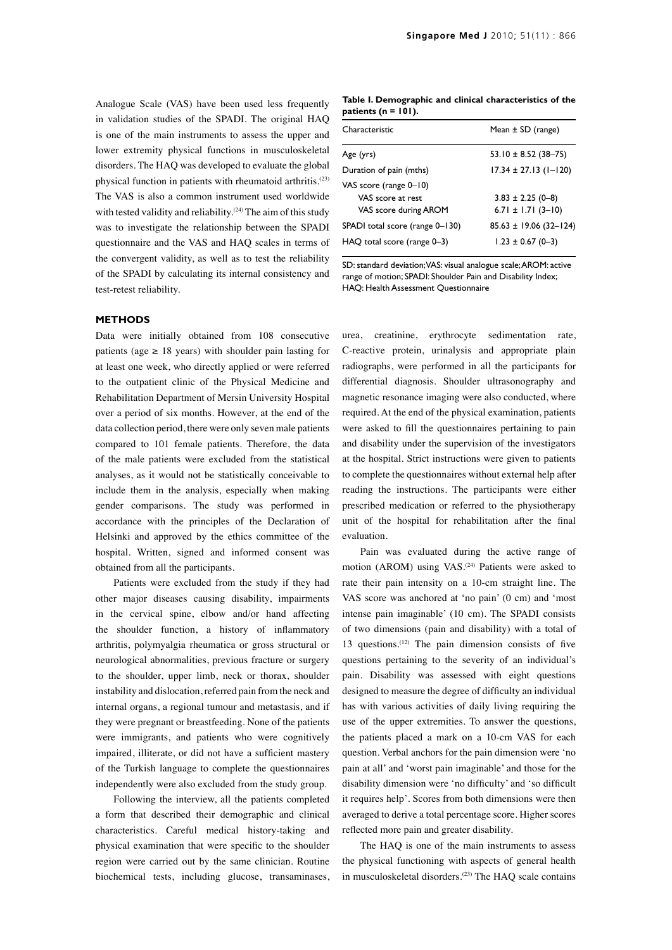Analogue Scale (VAS) have been used less frequently in validation studies of the SPADI. The original HAQ is one of the main instruments to assess the upper and lower extremity physical functions in musculoskeletal disorders. The HAQ was developed to evaluate the global physical function in patients with rheumatoid arthritis.(23) The VAS is also a common instrument used worldwide with tested validity and reliability.<sup>(24)</sup> The aim of this study was to investigate the relationship between the SPADI questionnaire and the VAS and HAQ scales in terms of the convergent validity, as well as to test the reliability of the SPADI by calculating its internal consistency and test-retest reliability.

#### **METHODS**

Data were initially obtained from 108 consecutive patients (age  $\geq$  18 years) with shoulder pain lasting for at least one week, who directly applied or were referred to the outpatient clinic of the Physical Medicine and Rehabilitation Department of Mersin University Hospital over a period of six months. However, at the end of the data collection period, there were only seven male patients compared to 101 female patients. Therefore, the data of the male patients were excluded from the statistical analyses, as it would not be statistically conceivable to include them in the analysis, especially when making gender comparisons. The study was performed in accordance with the principles of the Declaration of Helsinki and approved by the ethics committee of the hospital. Written, signed and informed consent was obtained from all the participants.

Patients were excluded from the study if they had other major diseases causing disability, impairments in the cervical spine, elbow and/or hand affecting the shoulder function, a history of inflammatory arthritis, polymyalgia rheumatica or gross structural or neurological abnormalities, previous fracture or surgery to the shoulder, upper limb, neck or thorax, shoulder instability and dislocation, referred pain from the neck and internal organs, a regional tumour and metastasis, and if they were pregnant or breastfeeding. None of the patients were immigrants, and patients who were cognitively impaired, illiterate, or did not have a sufficient mastery of the Turkish language to complete the questionnaires independently were also excluded from the study group.

Following the interview, all the patients completed a form that described their demographic and clinical characteristics. Careful medical history-taking and physical examination that were specific to the shoulder region were carried out by the same clinician. Routine biochemical tests, including glucose, transaminases,

**Table I. Demographic and clinical characteristics of the patients (n = 101).**

| Characteristic                   | Mean $\pm$ SD (range)       |
|----------------------------------|-----------------------------|
| Age (yrs)                        | 53.10 $\pm$ 8.52 (38-75)    |
| Duration of pain (mths)          | $17.34 \pm 27.13$ (1-120)   |
| VAS score (range 0-10)           |                             |
| VAS score at rest                | $3.83 \pm 2.25$ (0-8)       |
| VAS score during AROM            | 6.71 $\pm$ 1.71 (3-10)      |
| SPADI total score (range 0-130)  | $85.63 \pm 19.06(32 - 124)$ |
| $HAQ$ total score (range $0-3$ ) | $1.23 \pm 0.67$ (0-3)       |

SD: standard deviation; VAS: visual analogue scale; AROM: active range of motion; SPADI: Shoulder Pain and Disability Index; HAQ: Health Assessment Questionnaire

urea, creatinine, erythrocyte sedimentation rate, C-reactive protein, urinalysis and appropriate plain radiographs, were performed in all the participants for differential diagnosis. Shoulder ultrasonography and magnetic resonance imaging were also conducted, where required. At the end of the physical examination, patients were asked to fill the questionnaires pertaining to pain and disability under the supervision of the investigators at the hospital. Strict instructions were given to patients to complete the questionnaires without external help after reading the instructions. The participants were either prescribed medication or referred to the physiotherapy unit of the hospital for rehabilitation after the final evaluation.

Pain was evaluated during the active range of motion (AROM) using VAS.<sup>(24)</sup> Patients were asked to rate their pain intensity on a 10-cm straight line. The VAS score was anchored at 'no pain' (0 cm) and 'most intense pain imaginable' (10 cm). The SPADI consists of two dimensions (pain and disability) with a total of 13 questions.(12) The pain dimension consists of five questions pertaining to the severity of an individual's pain. Disability was assessed with eight questions designed to measure the degree of difficulty an individual has with various activities of daily living requiring the use of the upper extremities. To answer the questions, the patients placed a mark on a 10-cm VAS for each question. Verbal anchors for the pain dimension were 'no pain at all' and 'worst pain imaginable' and those for the disability dimension were 'no difficulty' and 'so difficult it requires help'. Scores from both dimensions were then averaged to derive a total percentage score. Higher scores reflected more pain and greater disability.

The HAQ is one of the main instruments to assess the physical functioning with aspects of general health in musculoskeletal disorders.<sup>(23)</sup> The HAQ scale contains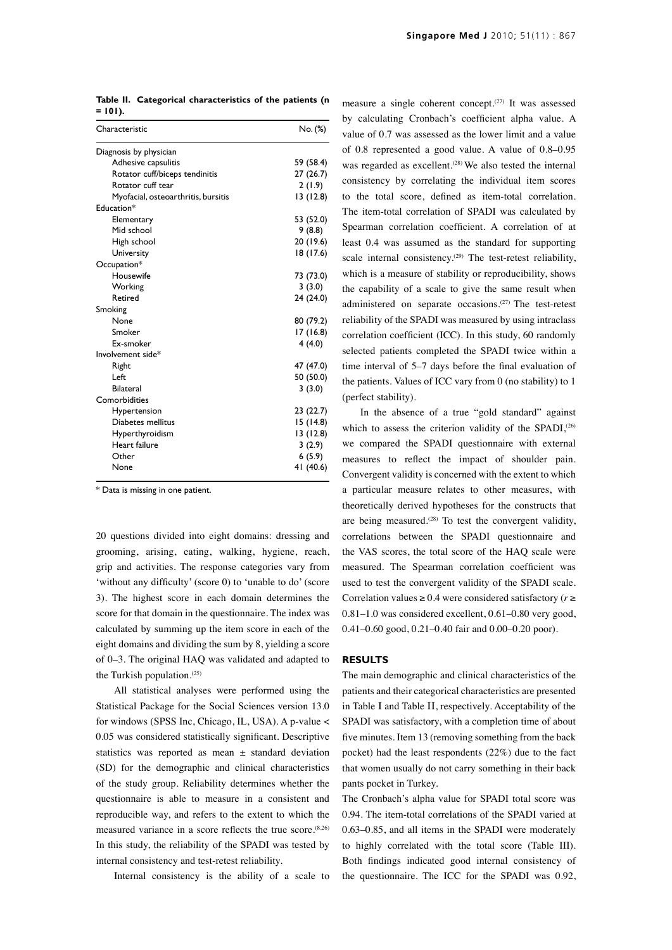|         | Table II. Categorical characteristics of the patients (n |  |
|---------|----------------------------------------------------------|--|
| = 101). |                                                          |  |

| Characteristic                      | No. (%)   |  |
|-------------------------------------|-----------|--|
| Diagnosis by physician              |           |  |
| Adhesive capsulitis                 | 59 (58.4) |  |
| Rotator cuff/biceps tendinitis      | 27 (26.7) |  |
| Rotator cuff tear                   | 2(1.9)    |  |
| Myofacial, osteoarthritis, bursitis | 13(12.8)  |  |
| Education*                          |           |  |
| Elementary                          | 53 (52.0) |  |
| Mid school                          | 9(8.8)    |  |
| High school                         | 20 (19.6) |  |
| University                          | 18 (17.6) |  |
| Occupation*                         |           |  |
| Housewife                           | 73 (73.0) |  |
| Working                             | 3(3.0)    |  |
| Retired                             | 24 (24.0) |  |
| Smoking                             |           |  |
| None                                | 80 (79.2) |  |
| Smoker                              | 17(16.8)  |  |
| <b>Fx-smoker</b>                    | 4(4.0)    |  |
| Involvement side*                   |           |  |
| Right                               | 47 (47.0) |  |
| Left                                | 50 (50.0) |  |
| <b>Bilateral</b>                    | 3(3.0)    |  |
| Comorbidities                       |           |  |
| Hypertension                        | 23 (22.7) |  |
| Diabetes mellitus                   | 15 (14.8) |  |
| Hyperthyroidism                     | 13(12.8)  |  |
| Heart failure                       | 3(2.9)    |  |
| Other                               | 6(5.9)    |  |
| None                                | 41 (40.6) |  |
|                                     |           |  |

\* Data is missing in one patient.

20 questions divided into eight domains: dressing and grooming, arising, eating, walking, hygiene, reach, grip and activities. The response categories vary from 'without any difficulty' (score 0) to 'unable to do' (score 3). The highest score in each domain determines the score for that domain in the questionnaire. The index was calculated by summing up the item score in each of the eight domains and dividing the sum by 8, yielding a score of 0–3. The original HAQ was validated and adapted to the Turkish population.(25)

All statistical analyses were performed using the Statistical Package for the Social Sciences version 13.0 for windows (SPSS Inc, Chicago, IL, USA). A p-value < 0.05 was considered statistically significant. Descriptive statistics was reported as mean  $\pm$  standard deviation (SD) for the demographic and clinical characteristics of the study group. Reliability determines whether the questionnaire is able to measure in a consistent and reproducible way, and refers to the extent to which the measured variance in a score reflects the true score.<sup>(8,26)</sup> In this study, the reliability of the SPADI was tested by internal consistency and test-retest reliability.

Internal consistency is the ability of a scale to

measure a single coherent concept.(27) It was assessed by calculating Cronbach's coefficient alpha value. A value of 0.7 was assessed as the lower limit and a value of 0.8 represented a good value. A value of 0.8–0.95 was regarded as excellent.<sup>(28)</sup> We also tested the internal consistency by correlating the individual item scores to the total score, defined as item-total correlation. The item-total correlation of SPADI was calculated by Spearman correlation coefficient. A correlation of at least 0.4 was assumed as the standard for supporting scale internal consistency.<sup>(29)</sup> The test-retest reliability, which is a measure of stability or reproducibility, shows the capability of a scale to give the same result when administered on separate occasions. $(27)$  The test-retest reliability of the SPADI was measured by using intraclass correlation coefficient (ICC). In this study, 60 randomly selected patients completed the SPADI twice within a time interval of 5–7 days before the final evaluation of the patients. Values of ICC vary from 0 (no stability) to 1 (perfect stability).

In the absence of a true "gold standard" against which to assess the criterion validity of the SPADI, $(26)$ we compared the SPADI questionnaire with external measures to reflect the impact of shoulder pain. Convergent validity is concerned with the extent to which a particular measure relates to other measures, with theoretically derived hypotheses for the constructs that are being measured.<sup>(28)</sup> To test the convergent validity, correlations between the SPADI questionnaire and the VAS scores, the total score of the HAQ scale were measured. The Spearman correlation coefficient was used to test the convergent validity of the SPADI scale. Correlation values  $\geq 0.4$  were considered satisfactory ( $r \geq 0$ 0.81–1.0 was considered excellent, 0.61–0.80 very good, 0.41–0.60 good, 0.21–0.40 fair and 0.00–0.20 poor).

### **RESULTS**

The main demographic and clinical characteristics of the patients and their categorical characteristics are presented in Table Ι and Table ΙΙ, respectively. Acceptability of the SPADI was satisfactory, with a completion time of about five minutes. Item 13 (removing something from the back pocket) had the least respondents (22%) due to the fact that women usually do not carry something in their back pants pocket in Turkey.

The Cronbach's alpha value for SPADI total score was 0.94. The item-total correlations of the SPADI varied at 0.63–0.85, and all items in the SPADI were moderately to highly correlated with the total score (Table III). Both findings indicated good internal consistency of the questionnaire. The ICC for the SPADI was 0.92,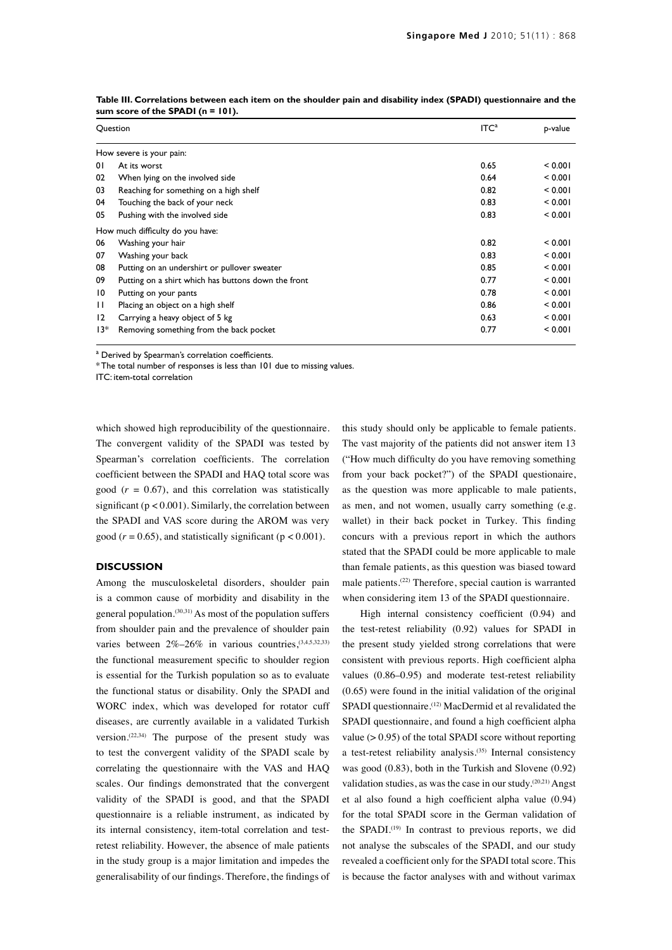| Question       |                                                     | ITC <sup>a</sup> | p-value |  |  |  |  |  |
|----------------|-----------------------------------------------------|------------------|---------|--|--|--|--|--|
|                | How severe is your pain:                            |                  |         |  |  |  |  |  |
| $\overline{0}$ | At its worst                                        | 0.65             | < 0.001 |  |  |  |  |  |
| 02             | When lying on the involved side                     | 0.64             | < 0.001 |  |  |  |  |  |
| 03             | Reaching for something on a high shelf              | 0.82             | < 0.001 |  |  |  |  |  |
| 04             | Touching the back of your neck                      | 0.83             | < 0.001 |  |  |  |  |  |
| 05             | Pushing with the involved side                      | 0.83             | < 0.001 |  |  |  |  |  |
|                | How much difficulty do you have:                    |                  |         |  |  |  |  |  |
| 06             | Washing your hair                                   | 0.82             | < 0.001 |  |  |  |  |  |
| 07             | Washing your back                                   | 0.83             | < 0.001 |  |  |  |  |  |
| 08             | Putting on an undershirt or pullover sweater        | 0.85             | < 0.001 |  |  |  |  |  |
| 09             | Putting on a shirt which has buttons down the front | 0.77             | < 0.001 |  |  |  |  |  |
| 10             | Putting on your pants                               | 0.78             | < 0.001 |  |  |  |  |  |
| $\mathbf{H}$   | Placing an object on a high shelf                   | 0.86             | < 0.001 |  |  |  |  |  |
| 12             | Carrying a heavy object of 5 kg                     | 0.63             | < 0.001 |  |  |  |  |  |
| 13*            | Removing something from the back pocket             | 0.77             | < 0.001 |  |  |  |  |  |

**Table III. Correlations between each item on the shoulder pain and disability index (SPADI) questionnaire and the sum score of the SPADI (n = 101).**

<sup>a</sup> Derived by Spearman's correlation coefficients.

\* The total number of responses is less than 101 due to missing values.

ITC: item-total correlation

which showed high reproducibility of the questionnaire. The convergent validity of the SPADI was tested by Spearman's correlation coefficients. The correlation coefficient between the SPADI and HAQ total score was good  $(r = 0.67)$ , and this correlation was statistically significant ( $p < 0.001$ ). Similarly, the correlation between the SPADI and VAS score during the AROM was very good ( $r = 0.65$ ), and statistically significant ( $p < 0.001$ ).

#### **DISCUSSION**

Among the musculoskeletal disorders, shoulder pain is a common cause of morbidity and disability in the general population. $(30,31)$  As most of the population suffers from shoulder pain and the prevalence of shoulder pain varies between  $2\% - 26\%$  in various countries,  $(3,4,5,32,33)$ the functional measurement specific to shoulder region is essential for the Turkish population so as to evaluate the functional status or disability. Only the SPADI and WORC index, which was developed for rotator cuff diseases, are currently available in a validated Turkish version.<sup>(22,34)</sup> The purpose of the present study was to test the convergent validity of the SPADI scale by correlating the questionnaire with the VAS and HAQ scales. Our findings demonstrated that the convergent validity of the SPADI is good, and that the SPADI questionnaire is a reliable instrument, as indicated by its internal consistency, item-total correlation and testretest reliability. However, the absence of male patients in the study group is a major limitation and impedes the generalisability of our findings. Therefore, the findings of

this study should only be applicable to female patients. The vast majority of the patients did not answer item 13 ("How much difficulty do you have removing something from your back pocket?") of the SPADI questionaire, as the question was more applicable to male patients, as men, and not women, usually carry something (e.g. wallet) in their back pocket in Turkey. This finding concurs with a previous report in which the authors stated that the SPADI could be more applicable to male than female patients, as this question was biased toward male patients.(22) Therefore, special caution is warranted when considering item 13 of the SPADI questionnaire.

 High internal consistency coefficient (0.94) and the test-retest reliability (0.92) values for SPADI in the present study yielded strong correlations that were consistent with previous reports. High coefficient alpha values (0.86–0.95) and moderate test-retest reliability (0.65) were found in the initial validation of the original SPADI questionnaire.<sup>(12)</sup> MacDermid et al revalidated the SPADI questionnaire, and found a high coefficient alpha value  $(> 0.95)$  of the total SPADI score without reporting a test-retest reliability analysis.<sup> $(35)$ </sup> Internal consistency was good (0.83), both in the Turkish and Slovene (0.92) validation studies, as was the case in our study.(20,21) Angst et al also found a high coefficient alpha value (0.94) for the total SPADI score in the German validation of the SPADI.<sup>(19)</sup> In contrast to previous reports, we did not analyse the subscales of the SPADI, and our study revealed a coefficient only for the SPADI total score. This is because the factor analyses with and without varimax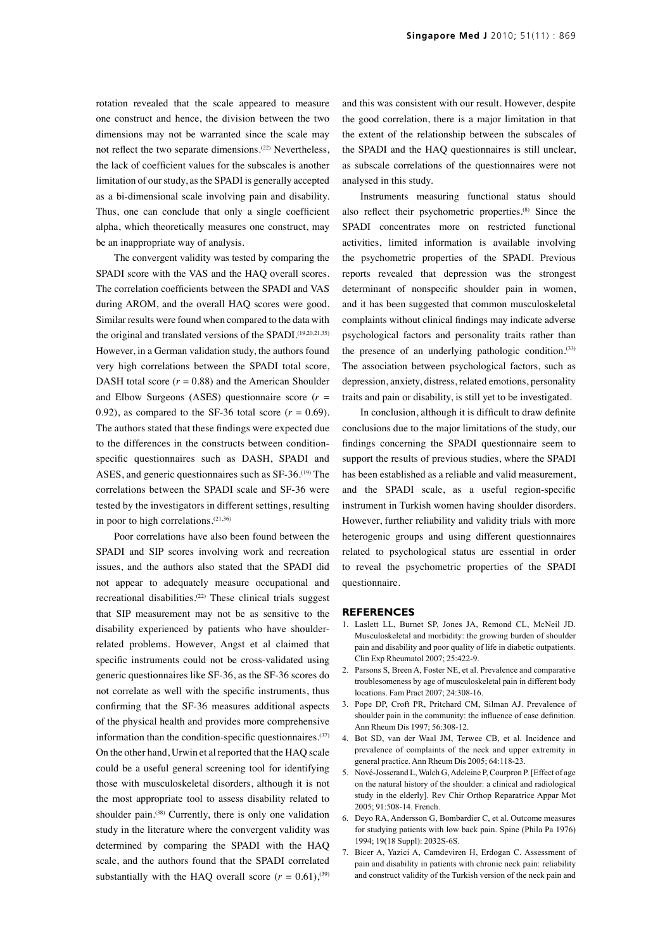rotation revealed that the scale appeared to measure one construct and hence, the division between the two dimensions may not be warranted since the scale may not reflect the two separate dimensions.<sup>(22)</sup> Nevertheless, the lack of coefficient values for the subscales is another limitation of our study, as the SPADI is generally accepted as a bi-dimensional scale involving pain and disability. Thus, one can conclude that only a single coefficient alpha, which theoretically measures one construct, may be an inappropriate way of analysis.

The convergent validity was tested by comparing the SPADI score with the VAS and the HAQ overall scores. The correlation coefficients between the SPADI and VAS during AROM, and the overall HAQ scores were good. Similar results were found when compared to the data with the original and translated versions of the SPADI.<sup>(19,20,21,35)</sup> However, in a German validation study, the authors found very high correlations between the SPADI total score, DASH total score  $(r = 0.88)$  and the American Shoulder and Elbow Surgeons (ASES) questionnaire score  $(r =$ 0.92), as compared to the SF-36 total score  $(r = 0.69)$ . The authors stated that these findings were expected due to the differences in the constructs between conditionspecific questionnaires such as DASH, SPADI and ASES, and generic questionnaires such as SF-36.<sup>(19)</sup> The correlations between the SPADI scale and SF-36 were tested by the investigators in different settings, resulting in poor to high correlations.(21,36)

Poor correlations have also been found between the SPADI and SIP scores involving work and recreation issues, and the authors also stated that the SPADI did not appear to adequately measure occupational and recreational disabilities.<sup>(22)</sup> These clinical trials suggest that SIP measurement may not be as sensitive to the disability experienced by patients who have shoulderrelated problems. However, Angst et al claimed that specific instruments could not be cross-validated using generic questionnaires like SF-36, as the SF-36 scores do not correlate as well with the specific instruments, thus confirming that the SF-36 measures additional aspects of the physical health and provides more comprehensive information than the condition-specific questionnaires. $(37)$ On the other hand, Urwin et al reported that the HAQ scale could be a useful general screening tool for identifying those with musculoskeletal disorders, although it is not the most appropriate tool to assess disability related to shoulder pain.<sup>(38)</sup> Currently, there is only one validation study in the literature where the convergent validity was determined by comparing the SPADI with the HAQ scale, and the authors found that the SPADI correlated substantially with the HAQ overall score  $(r = 0.61)$ ,<sup>(39)</sup>

and this was consistent with our result. However, despite the good correlation, there is a major limitation in that the extent of the relationship between the subscales of the SPADI and the HAQ questionnaires is still unclear, as subscale correlations of the questionnaires were not analysed in this study.

Instruments measuring functional status should also reflect their psychometric properties.(8) Since the SPADI concentrates more on restricted functional activities, limited information is available involving the psychometric properties of the SPADI. Previous reports revealed that depression was the strongest determinant of nonspecific shoulder pain in women, and it has been suggested that common musculoskeletal complaints without clinical findings may indicate adverse psychological factors and personality traits rather than the presence of an underlying pathologic condition.<sup>(33)</sup> The association between psychological factors, such as depression, anxiety, distress, related emotions, personality traits and pain or disability, is still yet to be investigated.

 In conclusion, although it is difficult to draw definite conclusions due to the major limitations of the study, our findings concerning the SPADI questionnaire seem to support the results of previous studies, where the SPADI has been established as a reliable and valid measurement, and the SPADI scale, as a useful region-specific instrument in Turkish women having shoulder disorders. However, further reliability and validity trials with more heterogenic groups and using different questionnaires related to psychological status are essential in order to reveal the psychometric properties of the SPADI questionnaire.

#### **REFERENCES**

- 1. Laslett LL, Burnet SP, Jones JA, Remond CL, McNeil JD. Musculoskeletal and morbidity: the growing burden of shoulder pain and disability and poor quality of life in diabetic outpatients. Clin Exp Rheumatol 2007; 25:422-9.
- 2. Parsons S, Breen A, Foster NE, et al. Prevalence and comparative troublesomeness by age of musculoskeletal pain in different body locations. Fam Pract 2007; 24:308-16.
- 3. Pope DP, Croft PR, Pritchard CM, Silman AJ. Prevalence of shoulder pain in the community: the influence of case definition. Ann Rheum Dis 1997; 56:308-12.
- 4. Bot SD, van der Waal JM, Terwee CB, et al. Incidence and prevalence of complaints of the neck and upper extremity in general practice. Ann Rheum Dis 2005; 64:118-23.
- 5. Nové-Josserand L, Walch G, Adeleine P, Courpron P. [Effect of age on the natural history of the shoulder: a clinical and radiological study in the elderly]. Rev Chir Orthop Reparatrice Appar Mot 2005; 91:508-14. French.
- 6. Deyo RA, Andersson G, Bombardier C, et al. Outcome measures for studying patients with low back pain. Spine (Phila Pa 1976) 1994; 19(18 Suppl): 2032S-6S.
- 7. Bicer A, Yazici A, Camdeviren H, Erdogan C. Assessment of pain and disability in patients with chronic neck pain: reliability and construct validity of the Turkish version of the neck pain and